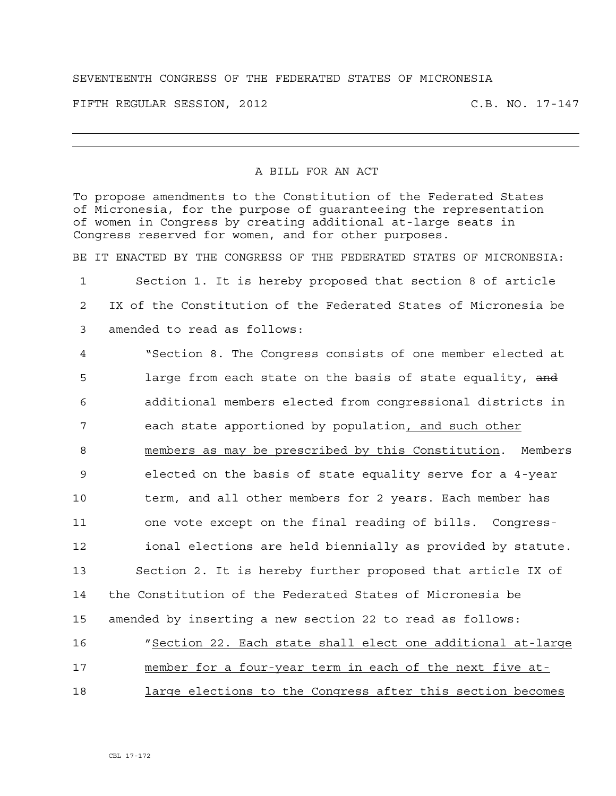## SEVENTEENTH CONGRESS OF THE FEDERATED STATES OF MICRONESIA

FIFTH REGULAR SESSION, 2012 C.B. NO. 17-147

## A BILL FOR AN ACT

To propose amendments to the Constitution of the Federated States of Micronesia, for the purpose of guaranteeing the representation of women in Congress by creating additional at-large seats in Congress reserved for women, and for other purposes.

BE IT ENACTED BY THE CONGRESS OF THE FEDERATED STATES OF MICRONESIA:

1 Section 1. It is hereby proposed that section 8 of article 2 IX of the Constitution of the Federated States of Micronesia be 3 amended to read as follows:

4 "Section 8. The Congress consists of one member elected at 5 large from each state on the basis of state equality, and 6 additional members elected from congressional districts in 7 each state apportioned by population, and such other 8 members as may be prescribed by this Constitution. Members 9 elected on the basis of state equality serve for a 4-year 10 term, and all other members for 2 years. Each member has 11 one vote except on the final reading of bills. Congress-12 ional elections are held biennially as provided by statute. 13 Section 2. It is hereby further proposed that article IX of 14 the Constitution of the Federated States of Micronesia be 15 amended by inserting a new section 22 to read as follows: 16 "Section 22. Each state shall elect one additional at-large 17 member for a four-year term in each of the next five at-18 large elections to the Congress after this section becomes